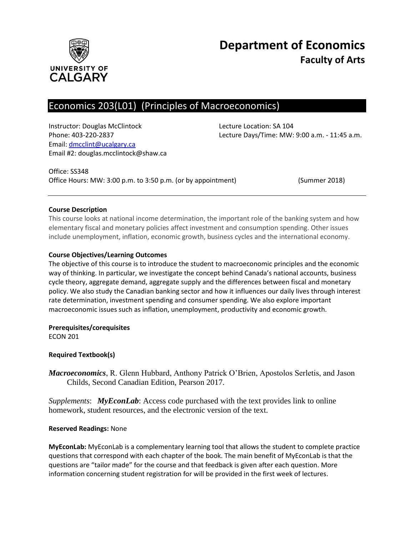

# Economics 203(L01) (Principles of Macroeconomics)

Instructor: Douglas McClintock Lecture Location: SA 104 Email: [dmcclint@ucalgary.ca](mailto:dmcclint@ucalgary.ca) Email #2: douglas.mcclintock@shaw.ca

Phone: 403-220-2837 Lecture Days/Time: MW: 9:00 a.m. - 11:45 a.m.

Office: SS348 Office Hours: MW: 3:00 p.m. to 3:50 p.m. (or by appointment) (Summer 2018)

## **Course Description**

This course looks at national income determination, the important role of the banking system and how elementary fiscal and monetary policies affect investment and consumption spending. Other issues include unemployment, inflation, economic growth, business cycles and the international economy.

## **Course Objectives/Learning Outcomes**

The objective of this course is to introduce the student to macroeconomic principles and the economic way of thinking. In particular, we investigate the concept behind Canada's national accounts, business cycle theory, aggregate demand, aggregate supply and the differences between fiscal and monetary policy. We also study the Canadian banking sector and how it influences our daily lives through interest rate determination, investment spending and consumer spending. We also explore important macroeconomic issues such as inflation, unemployment, productivity and economic growth.

**Prerequisites/corequisites**

ECON 201

#### **Required Textbook(s)**

*Macroeconomics*, R. Glenn Hubbard, Anthony Patrick O'Brien, Apostolos Serletis, and Jason Childs, Second Canadian Edition, Pearson 2017.

*Supplements*: *MyEconLab*: Access code purchased with the text provides link to online homework, student resources, and the electronic version of the text.

#### **Reserved Readings:** None

**MyEconLab:** MyEconLab is a complementary learning tool that allows the student to complete practice questions that correspond with each chapter of the book. The main benefit of MyEconLab is that the questions are "tailor made" for the course and that feedback is given after each question. More information concerning student registration for will be provided in the first week of lectures.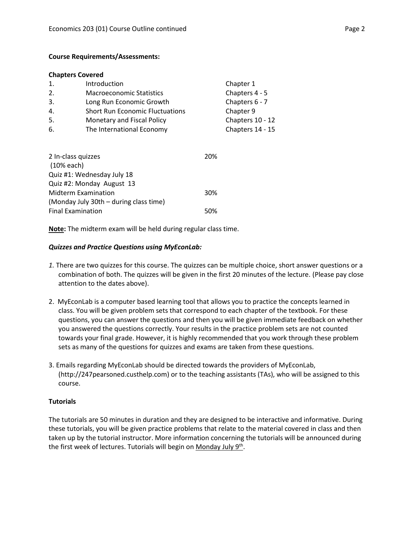#### **Course Requirements/Assessments:**

#### **Chapters Covered**

| $\mathbf{1}$ . | Introduction                           | Chapter 1        |
|----------------|----------------------------------------|------------------|
| 2.             | <b>Macroeconomic Statistics</b>        | Chapters 4 - 5   |
| 3.             | Long Run Economic Growth               | Chapters 6 - 7   |
| 4.             | <b>Short Run Economic Fluctuations</b> | Chapter 9        |
| 5.             | Monetary and Fiscal Policy             | Chapters 10 - 12 |
| 6.             | The International Economy              | Chapters 14 - 15 |
|                |                                        |                  |

| 2 In-class quizzes                     | 20% |
|----------------------------------------|-----|
| (10% each)                             |     |
| Quiz #1: Wednesday July 18             |     |
| Quiz #2: Monday August 13              |     |
| Midterm Examination                    | 30% |
| (Monday July 30th – during class time) |     |
| <b>Final Examination</b>               | 50% |

**Note:** The midterm exam will be held during regular class time.

#### *Quizzes and Practice Questions using MyEconLab:*

- *1.* There are two quizzes for this course. The quizzes can be multiple choice, short answer questions or a combination of both. The quizzes will be given in the first 20 minutes of the lecture. (Please pay close attention to the dates above).
- 2. MyEconLab is a computer based learning tool that allows you to practice the concepts learned in class. You will be given problem sets that correspond to each chapter of the textbook. For these questions, you can answer the questions and then you will be given immediate feedback on whether you answered the questions correctly. Your results in the practice problem sets are not counted towards your final grade. However, it is highly recommended that you work through these problem sets as many of the questions for quizzes and exams are taken from these questions.
- 3. Emails regarding MyEconLab should be directed towards the providers of MyEconLab, (http://247pearsoned.custhelp.com) or to the teaching assistants (TAs), who will be assigned to this course.

#### **Tutorials**

The tutorials are 50 minutes in duration and they are designed to be interactive and informative. During these tutorials, you will be given practice problems that relate to the material covered in class and then taken up by the tutorial instructor. More information concerning the tutorials will be announced during the first week of lectures. Tutorials will begin on Monday July 9<sup>th</sup>.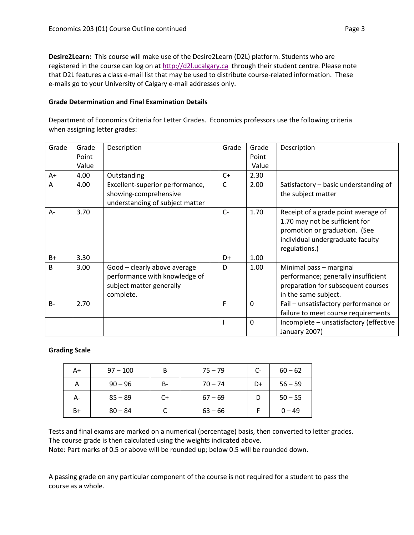**Desire2Learn:** This course will make use of the Desire2Learn (D2L) platform. Students who are registered in the course can log on at [http://d2l.ucalgary.ca](http://d2l.ucalgary.ca/) through their student centre. Please note that D2L features a class e-mail list that may be used to distribute course-related information. These e-mails go to your University of Calgary e-mail addresses only.

## **Grade Determination and Final Examination Details**

Department of Economics Criteria for Letter Grades. Economics professors use the following criteria when assigning letter grades:

| Grade        | Grade | Description                                                                                            | Grade | Grade       | Description                                                                                                                                                 |
|--------------|-------|--------------------------------------------------------------------------------------------------------|-------|-------------|-------------------------------------------------------------------------------------------------------------------------------------------------------------|
|              | Point |                                                                                                        |       | Point       |                                                                                                                                                             |
|              | Value |                                                                                                        |       | Value       |                                                                                                                                                             |
| $A+$         | 4.00  | Outstanding                                                                                            | $C+$  | 2.30        |                                                                                                                                                             |
| A            | 4.00  | Excellent-superior performance,<br>showing-comprehensive<br>understanding of subject matter            | C     | 2.00        | Satisfactory - basic understanding of<br>the subject matter                                                                                                 |
| A-           | 3.70  |                                                                                                        | $C -$ | 1.70        | Receipt of a grade point average of<br>1.70 may not be sufficient for<br>promotion or graduation. (See<br>individual undergraduate faculty<br>regulations.) |
| $B+$         | 3.30  |                                                                                                        | D+    | 1.00        |                                                                                                                                                             |
| <sub>B</sub> | 3.00  | Good - clearly above average<br>performance with knowledge of<br>subject matter generally<br>complete. | D     | 1.00        | Minimal pass - marginal<br>performance; generally insufficient<br>preparation for subsequent courses<br>in the same subject.                                |
| $B -$        | 2.70  |                                                                                                        | F     | $\mathbf 0$ | Fail - unsatisfactory performance or<br>failure to meet course requirements                                                                                 |
|              |       |                                                                                                        |       | $\mathbf 0$ | Incomplete - unsatisfactory (effective<br>January 2007)                                                                                                     |

#### **Grading Scale**

| A+ | $97 - 100$ | B         | $75 - 79$ | $C-$ | $60 - 62$ |
|----|------------|-----------|-----------|------|-----------|
| Α  | $90 - 96$  | <b>B-</b> | $70 - 74$ | D+   | $56 - 59$ |
| А- | $85 - 89$  | C+        | $67 - 69$ | D    | $50 - 55$ |
| B+ | $80 - 84$  |           | $63 - 66$ |      | $0 - 49$  |

Tests and final exams are marked on a numerical (percentage) basis, then converted to letter grades. The course grade is then calculated using the weights indicated above.

Note: Part marks of 0.5 or above will be rounded up; below 0.5 will be rounded down.

A passing grade on any particular component of the course is not required for a student to pass the course as a whole.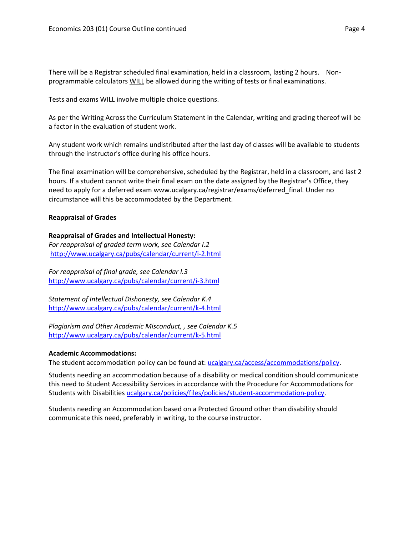There will be a Registrar scheduled final examination, held in a classroom, lasting 2 hours. Nonprogrammable calculators WILL be allowed during the writing of tests or final examinations.

Tests and exams WILL involve multiple choice questions.

As per the Writing Across the Curriculum Statement in the Calendar, writing and grading thereof will be a factor in the evaluation of student work.

Any student work which remains undistributed after the last day of classes will be available to students through the instructor's office during his office hours.

The final examination will be comprehensive, scheduled by the Registrar, held in a classroom, and last 2 hours. If a student cannot write their final exam on the date assigned by the Registrar's Office, they need to apply for a deferred exam www.ucalgary.ca/registrar/exams/deferred\_final. Under no circumstance will this be accommodated by the Department.

## **Reappraisal of Grades**

#### **Reappraisal of Grades and Intellectual Honesty:**

*For reappraisal of graded term work, see Calendar I.2* <http://www.ucalgary.ca/pubs/calendar/current/i-2.html>

*For reappraisal of final grade, see Calendar I.3* <http://www.ucalgary.ca/pubs/calendar/current/i-3.html>

*Statement of Intellectual Dishonesty, see Calendar K.4* <http://www.ucalgary.ca/pubs/calendar/current/k-4.html>

*Plagiarism and Other Academic Misconduct, , see Calendar K.5* <http://www.ucalgary.ca/pubs/calendar/current/k-5.html>

#### **Academic Accommodations:**

The student accommodation policy can be found at: [ucalgary.ca/access/accommodations/policy.](http://www.ucalgary.ca/access/accommodations/policy)

Students needing an accommodation because of a disability or medical condition should communicate this need to Student Accessibility Services in accordance with the Procedure for Accommodations for Students with Disabilities [ucalgary.ca/policies/files/policies/student-accommodation-policy.](http://www.ucalgary.ca/policies/files/policies/student-accommodation-policy.pdf)

Students needing an Accommodation based on a Protected Ground other than disability should communicate this need, preferably in writing, to the course instructor.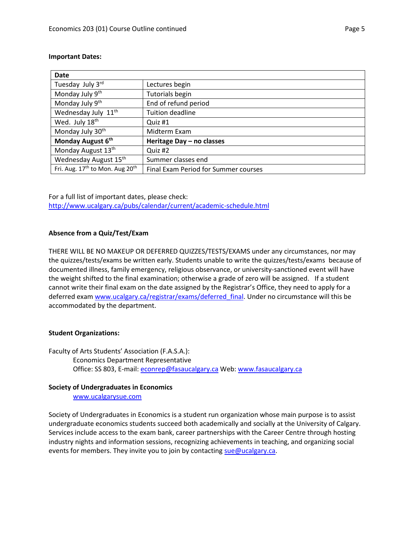| <b>Date</b>                                             |                                      |
|---------------------------------------------------------|--------------------------------------|
| Tuesday July 3rd                                        | Lectures begin                       |
| Monday July 9 <sup>th</sup>                             | <b>Tutorials begin</b>               |
| Monday July 9 <sup>th</sup>                             | End of refund period                 |
| Wednesday July 11 <sup>th</sup>                         | <b>Tuition deadline</b>              |
| Wed. July 18th                                          | Quiz #1                              |
| Monday July 30 <sup>th</sup>                            | Midterm Exam                         |
| Monday August 6th                                       | Heritage Day - no classes            |
| Monday August 13th                                      | Quiz #2                              |
| Wednesday August 15th                                   | Summer classes end                   |
| Fri. Aug. 17 <sup>th</sup> to Mon. Aug 20 <sup>th</sup> | Final Exam Period for Summer courses |

#### **Important Dates:**

For a full list of important dates, please check: <http://www.ucalgary.ca/pubs/calendar/current/academic-schedule.html>

## **Absence from a Quiz/Test/Exam**

THERE WILL BE NO MAKEUP OR DEFERRED QUIZZES/TESTS/EXAMS under any circumstances, nor may the quizzes/tests/exams be written early. Students unable to write the quizzes/tests/exams because of documented illness, family emergency, religious observance, or university-sanctioned event will have the weight shifted to the final examination; otherwise a grade of zero will be assigned. If a student cannot write their final exam on the date assigned by the Registrar's Office, they need to apply for a deferred exam [www.ucalgary.ca/registrar/exams/deferred\\_final.](http://www.ucalgary.ca/registrar/exams/deferred_final) Under no circumstance will this be accommodated by the department.

## **Student Organizations:**

Faculty of Arts Students' Association (F.A.S.A.): Economics Department Representative Office: SS 803, E-mail: [econrep@fasaucalgary.ca](mailto:econrep@fasaucalgary.ca) Web: [www.fasaucalgary.ca](http://www.fasaucalgary.ca/)

#### **Society of Undergraduates in Economics**

[www.ucalgarysue.com](http://www.ucalgarysue.com/)

Society of Undergraduates in Economics is a student run organization whose main purpose is to assist undergraduate economics students succeed both academically and socially at the University of Calgary. Services include access to the exam bank, career partnerships with the Career Centre through hosting industry nights and information sessions, recognizing achievements in teaching, and organizing social events for members. They invite you to join by contacting  $\frac{\text{supp} \omega}{\text{supp} \omega}$